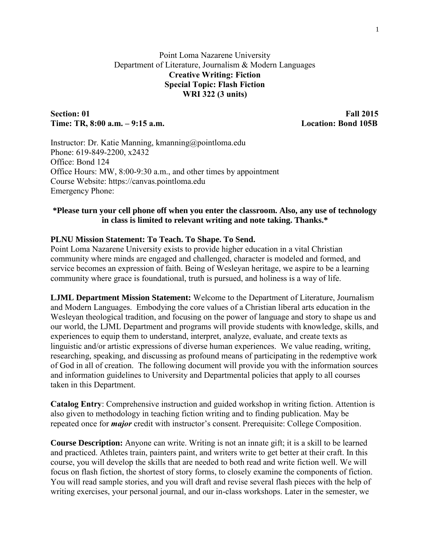# Point Loma Nazarene University Department of Literature, Journalism & Modern Languages **Creative Writing: Fiction Special Topic: Flash Fiction WRI 322 (3 units)**

#### **Section: 01** Fall 2015 **Time: TR, 8:00 a.m. – 9:15 a.m. Location: Bond 105B**

Instructor: Dr. Katie Manning, kmanning@pointloma.edu Phone: 619-849-2200, x2432 Office: Bond 124 Office Hours: MW, 8:00-9:30 a.m., and other times by appointment Course Website: https://canvas.pointloma.edu Emergency Phone:

# **\*Please turn your cell phone off when you enter the classroom. Also, any use of technology in class is limited to relevant writing and note taking. Thanks.\***

# **PLNU Mission Statement: To Teach. To Shape. To Send.**

Point Loma Nazarene University exists to provide higher education in a vital Christian community where minds are engaged and challenged, character is modeled and formed, and service becomes an expression of faith. Being of Wesleyan heritage, we aspire to be a learning community where grace is foundational, truth is pursued, and holiness is a way of life.

**LJML Department Mission Statement:** Welcome to the Department of Literature, Journalism and Modern Languages. Embodying the core values of a Christian liberal arts education in the Wesleyan theological tradition, and focusing on the power of language and story to shape us and our world, the LJML Department and programs will provide students with knowledge, skills, and experiences to equip them to understand, interpret, analyze, evaluate, and create texts as linguistic and/or artistic expressions of diverse human experiences. We value reading, writing, researching, speaking, and discussing as profound means of participating in the redemptive work of God in all of creation. The following document will provide you with the information sources and information guidelines to University and Departmental policies that apply to all courses taken in this Department.

**Catalog Entry**: Comprehensive instruction and guided workshop in writing fiction. Attention is also given to methodology in teaching fiction writing and to finding publication. May be repeated once for *major* credit with instructor's consent. Prerequisite: College Composition.

**Course Description:** Anyone can write. Writing is not an innate gift; it is a skill to be learned and practiced. Athletes train, painters paint, and writers write to get better at their craft. In this course, you will develop the skills that are needed to both read and write fiction well. We will focus on flash fiction, the shortest of story forms, to closely examine the components of fiction. You will read sample stories, and you will draft and revise several flash pieces with the help of writing exercises, your personal journal, and our in-class workshops. Later in the semester, we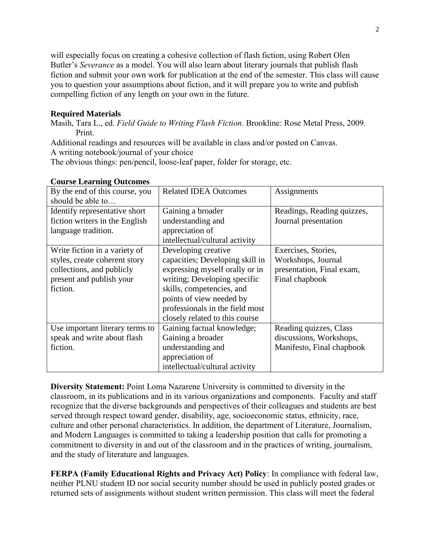will especially focus on creating a cohesive collection of flash fiction, using Robert Olen Butler's *Severance* as a model. You will also learn about literary journals that publish flash fiction and submit your own work for publication at the end of the semester. This class will cause you to question your assumptions about fiction, and it will prepare you to write and publish compelling fiction of any length on your own in the future.

### **Required Materials**

Masih, Tara L., ed. *Field Guide to Writing Flash Fiction*. Brookline: Rose Metal Press, 2009. Print.

Additional readings and resources will be available in class and/or posted on Canvas.

A writing notebook/journal of your choice

The obvious things: pen/pencil, loose-leaf paper, folder for storage, etc.

| By the end of this course, you  | <b>Related IDEA Outcomes</b>    | Assignments                |
|---------------------------------|---------------------------------|----------------------------|
| should be able to               |                                 |                            |
| Identify representative short   | Gaining a broader               | Readings, Reading quizzes, |
| fiction writers in the English  | understanding and               | Journal presentation       |
| language tradition.             | appreciation of                 |                            |
|                                 | intellectual/cultural activity  |                            |
| Write fiction in a variety of   | Developing creative             | Exercises, Stories,        |
| styles, create coherent story   | capacities; Developing skill in | Workshops, Journal         |
| collections, and publicly       | expressing myself orally or in  | presentation, Final exam,  |
| present and publish your        | writing; Developing specific    | Final chapbook             |
| fiction.                        | skills, competencies, and       |                            |
|                                 | points of view needed by        |                            |
|                                 | professionals in the field most |                            |
|                                 | closely related to this course  |                            |
| Use important literary terms to | Gaining factual knowledge;      | Reading quizzes, Class     |
| speak and write about flash     | Gaining a broader               | discussions, Workshops,    |
| fiction.                        | understanding and               | Manifesto, Final chapbook  |
|                                 | appreciation of                 |                            |
|                                 | intellectual/cultural activity  |                            |

# **Course Learning Outcomes**

**Diversity Statement:** Point Loma Nazarene University is committed to diversity in the classroom, in its publications and in its various organizations and components. Faculty and staff recognize that the diverse backgrounds and perspectives of their colleagues and students are best served through respect toward gender, disability, age, socioeconomic status, ethnicity, race, culture and other personal characteristics. In addition, the department of Literature, Journalism, and Modern Languages is committed to taking a leadership position that calls for promoting a commitment to diversity in and out of the classroom and in the practices of writing, journalism, and the study of literature and languages.

**FERPA (Family Educational Rights and Privacy Act) Policy**: In compliance with federal law, neither PLNU student ID nor social security number should be used in publicly posted grades or returned sets of assignments without student written permission. This class will meet the federal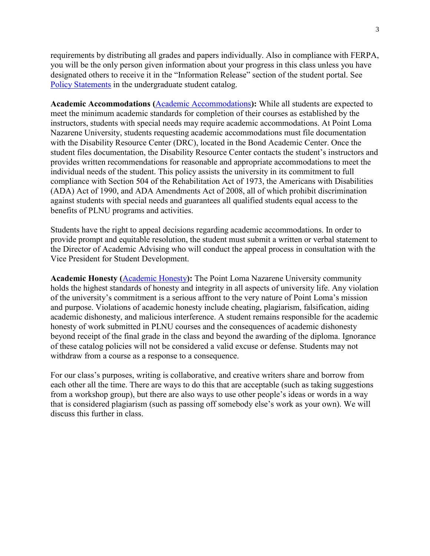requirements by distributing all grades and papers individually. Also in compliance with FERPA, you will be the only person given information about your progress in this class unless you have designated others to receive it in the "Information Release" section of the student portal. See [Policy Statements](http://catalog.pointloma.edu/content.php?catoid=8&navoid=864) in the undergraduate student catalog.

**Academic Accommodations (**[Academic Accommodations](http://catalog.pointloma.edu/content.php?catoid=10&navoid=1000#Academic_Accommodations)**):** While all students are expected to meet the minimum academic standards for completion of their courses as established by the instructors, students with special needs may require academic accommodations. At Point Loma Nazarene University, students requesting academic accommodations must file documentation with the Disability Resource Center (DRC), located in the Bond Academic Center. Once the student files documentation, the Disability Resource Center contacts the student's instructors and provides written recommendations for reasonable and appropriate accommodations to meet the individual needs of the student. This policy assists the university in its commitment to full compliance with Section 504 of the Rehabilitation Act of 1973, the Americans with Disabilities (ADA) Act of 1990, and ADA Amendments Act of 2008, all of which prohibit discrimination against students with special needs and guarantees all qualified students equal access to the benefits of PLNU programs and activities.

Students have the right to appeal decisions regarding academic accommodations. In order to provide prompt and equitable resolution, the student must submit a written or verbal statement to the Director of Academic Advising who will conduct the appeal process in consultation with the Vice President for Student Development.

**Academic Honesty (**[Academic Honesty](http://catalog.pointloma.edu/content.php?catoid=10&navoid=1000#Academic_Honesty)**):** The Point Loma Nazarene University community holds the highest standards of honesty and integrity in all aspects of university life. Any violation of the university's commitment is a serious affront to the very nature of Point Loma's mission and purpose. Violations of academic honesty include cheating, plagiarism, falsification, aiding academic dishonesty, and malicious interference. A student remains responsible for the academic honesty of work submitted in PLNU courses and the consequences of academic dishonesty beyond receipt of the final grade in the class and beyond the awarding of the diploma. Ignorance of these catalog policies will not be considered a valid excuse or defense. Students may not withdraw from a course as a response to a consequence.

For our class's purposes, writing is collaborative, and creative writers share and borrow from each other all the time. There are ways to do this that are acceptable (such as taking suggestions from a workshop group), but there are also ways to use other people's ideas or words in a way that is considered plagiarism (such as passing off somebody else's work as your own). We will discuss this further in class.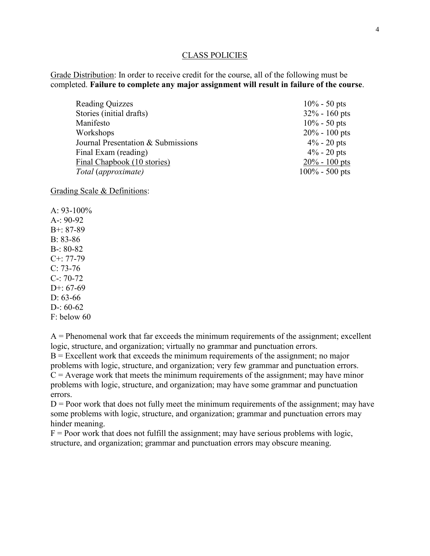#### CLASS POLICIES

Grade Distribution: In order to receive credit for the course, all of the following must be completed. **Failure to complete any major assignment will result in failure of the course**.

| <b>Reading Quizzes</b>             | $10\% - 50$ pts   |
|------------------------------------|-------------------|
| Stories (initial drafts)           | $32\% - 160$ pts  |
| Manifesto                          | $10\% - 50$ pts   |
| Workshops                          | $20\% - 100$ pts  |
| Journal Presentation & Submissions | $4\% - 20$ pts    |
| Final Exam (reading)               | $4\% - 20$ pts    |
| Final Chapbook (10 stories)        | $20\% - 100$ pts  |
| Total (approximate)                | $100\% - 500$ pts |

Grading Scale & Definitions:

A:  $93-100\%$ A-: 90-92 B+: 87-89 B: 83-86 B-: 80-82 C+: 77-79  $C: 73-76$ C-: 70-72 D+:  $67-69$ D: 63-66 D-: 60-62 F: below 60

 $A =$  Phenomenal work that far exceeds the minimum requirements of the assignment; excellent logic, structure, and organization; virtually no grammar and punctuation errors.  $B =$  Excellent work that exceeds the minimum requirements of the assignment; no major problems with logic, structure, and organization; very few grammar and punctuation errors.  $C =$  Average work that meets the minimum requirements of the assignment; may have minor problems with logic, structure, and organization; may have some grammar and punctuation errors.

 $D =$  Poor work that does not fully meet the minimum requirements of the assignment; may have some problems with logic, structure, and organization; grammar and punctuation errors may hinder meaning.

 $F =$  Poor work that does not fulfill the assignment; may have serious problems with logic, structure, and organization; grammar and punctuation errors may obscure meaning.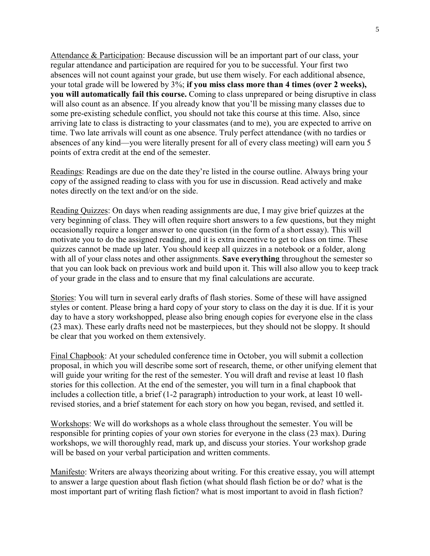Attendance & Participation: Because discussion will be an important part of our class, your regular attendance and participation are required for you to be successful. Your first two absences will not count against your grade, but use them wisely. For each additional absence, your total grade will be lowered by 3%; **if you miss class more than 4 times (over 2 weeks), you will automatically fail this course.** Coming to class unprepared or being disruptive in class will also count as an absence. If you already know that you'll be missing many classes due to some pre-existing schedule conflict, you should not take this course at this time. Also, since arriving late to class is distracting to your classmates (and to me), you are expected to arrive on time. Two late arrivals will count as one absence. Truly perfect attendance (with no tardies or absences of any kind—you were literally present for all of every class meeting) will earn you 5 points of extra credit at the end of the semester.

Readings: Readings are due on the date they're listed in the course outline. Always bring your copy of the assigned reading to class with you for use in discussion. Read actively and make notes directly on the text and/or on the side.

Reading Quizzes: On days when reading assignments are due, I may give brief quizzes at the very beginning of class. They will often require short answers to a few questions, but they might occasionally require a longer answer to one question (in the form of a short essay). This will motivate you to do the assigned reading, and it is extra incentive to get to class on time. These quizzes cannot be made up later. You should keep all quizzes in a notebook or a folder, along with all of your class notes and other assignments. **Save everything** throughout the semester so that you can look back on previous work and build upon it. This will also allow you to keep track of your grade in the class and to ensure that my final calculations are accurate.

Stories: You will turn in several early drafts of flash stories. Some of these will have assigned styles or content. Please bring a hard copy of your story to class on the day it is due. If it is your day to have a story workshopped, please also bring enough copies for everyone else in the class (23 max). These early drafts need not be masterpieces, but they should not be sloppy. It should be clear that you worked on them extensively.

Final Chapbook: At your scheduled conference time in October, you will submit a collection proposal, in which you will describe some sort of research, theme, or other unifying element that will guide your writing for the rest of the semester. You will draft and revise at least 10 flash stories for this collection. At the end of the semester, you will turn in a final chapbook that includes a collection title, a brief (1-2 paragraph) introduction to your work, at least 10 wellrevised stories, and a brief statement for each story on how you began, revised, and settled it.

Workshops: We will do workshops as a whole class throughout the semester. You will be responsible for printing copies of your own stories for everyone in the class (23 max). During workshops, we will thoroughly read, mark up, and discuss your stories. Your workshop grade will be based on your verbal participation and written comments.

Manifesto: Writers are always theorizing about writing. For this creative essay, you will attempt to answer a large question about flash fiction (what should flash fiction be or do? what is the most important part of writing flash fiction? what is most important to avoid in flash fiction?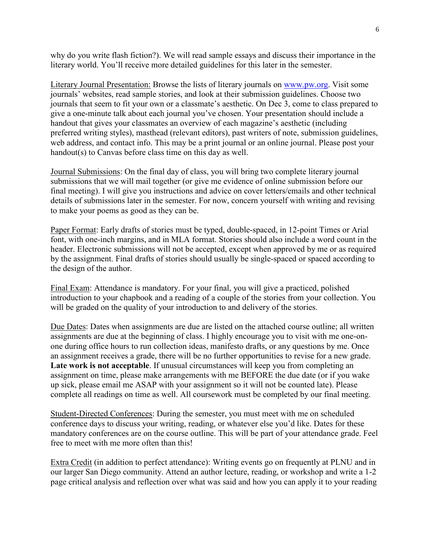why do you write flash fiction?). We will read sample essays and discuss their importance in the literary world. You'll receive more detailed guidelines for this later in the semester.

Literary Journal Presentation: Browse the lists of literary journals on [www.pw.org.](http://www.pw.org/) Visit some journals' websites, read sample stories, and look at their submission guidelines. Choose two journals that seem to fit your own or a classmate's aesthetic. On Dec 3, come to class prepared to give a one-minute talk about each journal you've chosen. Your presentation should include a handout that gives your classmates an overview of each magazine's aesthetic (including preferred writing styles), masthead (relevant editors), past writers of note, submission guidelines, web address, and contact info. This may be a print journal or an online journal. Please post your handout(s) to Canvas before class time on this day as well.

Journal Submissions: On the final day of class, you will bring two complete literary journal submissions that we will mail together (or give me evidence of online submission before our final meeting). I will give you instructions and advice on cover letters/emails and other technical details of submissions later in the semester. For now, concern yourself with writing and revising to make your poems as good as they can be.

Paper Format: Early drafts of stories must be typed, double-spaced, in 12-point Times or Arial font, with one-inch margins, and in MLA format. Stories should also include a word count in the header. Electronic submissions will not be accepted, except when approved by me or as required by the assignment. Final drafts of stories should usually be single-spaced or spaced according to the design of the author.

Final Exam: Attendance is mandatory. For your final, you will give a practiced, polished introduction to your chapbook and a reading of a couple of the stories from your collection. You will be graded on the quality of your introduction to and delivery of the stories.

Due Dates: Dates when assignments are due are listed on the attached course outline; all written assignments are due at the beginning of class. I highly encourage you to visit with me one-onone during office hours to run collection ideas, manifesto drafts, or any questions by me. Once an assignment receives a grade, there will be no further opportunities to revise for a new grade. Late work is not acceptable. If unusual circumstances will keep you from completing an assignment on time, please make arrangements with me BEFORE the due date (or if you wake up sick, please email me ASAP with your assignment so it will not be counted late). Please complete all readings on time as well. All coursework must be completed by our final meeting.

Student-Directed Conferences: During the semester, you must meet with me on scheduled conference days to discuss your writing, reading, or whatever else you'd like. Dates for these mandatory conferences are on the course outline. This will be part of your attendance grade. Feel free to meet with me more often than this!

Extra Credit (in addition to perfect attendance): Writing events go on frequently at PLNU and in our larger San Diego community. Attend an author lecture, reading, or workshop and write a 1-2 page critical analysis and reflection over what was said and how you can apply it to your reading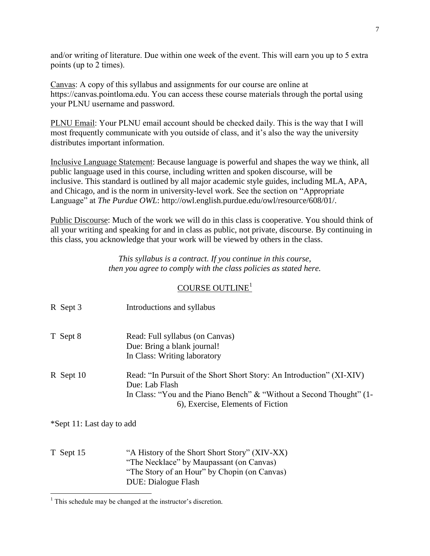and/or writing of literature. Due within one week of the event. This will earn you up to 5 extra points (up to 2 times).

Canvas: A copy of this syllabus and assignments for our course are online at https://canvas.pointloma.edu. You can access these course materials through the portal using your PLNU username and password.

PLNU Email: Your PLNU email account should be checked daily. This is the way that I will most frequently communicate with you outside of class, and it's also the way the university distributes important information.

Inclusive Language Statement: Because language is powerful and shapes the way we think, all public language used in this course, including written and spoken discourse, will be inclusive. This standard is outlined by all major academic style guides, including MLA, APA, and Chicago, and is the norm in university-level work. See the section on "Appropriate Language" at *The Purdue OWL*: http://owl.english.purdue.edu/owl/resource/608/01/.

Public Discourse: Much of the work we will do in this class is cooperative. You should think of all your writing and speaking for and in class as public, not private, discourse. By continuing in this class, you acknowledge that your work will be viewed by others in the class.

> *This syllabus is a contract. If you continue in this course, then you agree to comply with the class policies as stated here.*

# COURSE OUTLINE<sup>1</sup>

| R Sept 3    | Introductions and syllabus                                                                                                                                                                           |
|-------------|------------------------------------------------------------------------------------------------------------------------------------------------------------------------------------------------------|
| T Sept 8    | Read: Full syllabus (on Canvas)<br>Due: Bring a blank journal!<br>In Class: Writing laboratory                                                                                                       |
| $R$ Sept 10 | Read: "In Pursuit of the Short Short Story: An Introduction" (XI-XIV)<br>Due: Lab Flash<br>In Class: "You and the Piano Bench" & "Without a Second Thought" (1-<br>6), Exercise, Elements of Fiction |

\*Sept 11: Last day to add

 $\overline{a}$ 

T Sept 15 "A History of the Short Short Story" (XIV-XX) "The Necklace" by Maupassant (on Canvas) "The Story of an Hour" by Chopin (on Canvas) DUE: Dialogue Flash

 $<sup>1</sup>$  This schedule may be changed at the instructor's discretion.</sup>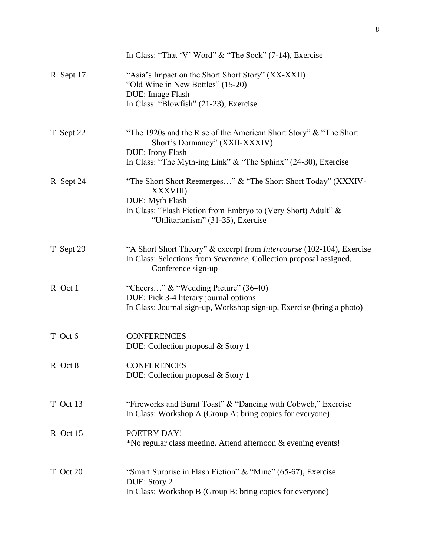|           | In Class: "That 'V' Word" $&$ "The Sock" (7-14), Exercise                                                                                                                                                   |
|-----------|-------------------------------------------------------------------------------------------------------------------------------------------------------------------------------------------------------------|
| R Sept 17 | "Asia's Impact on the Short Short Story" (XX-XXII)<br>"Old Wine in New Bottles" (15-20)<br>DUE: Image Flash<br>In Class: "Blowfish" (21-23), Exercise                                                       |
| T Sept 22 | "The 1920s and the Rise of the American Short Story" & "The Short<br>Short's Dormancy" (XXII-XXXIV)<br>DUE: Irony Flash<br>In Class: "The Myth-ing Link" & "The Sphinx" (24-30), Exercise                   |
| R Sept 24 | "The Short Short Reemerges" & "The Short Short Today" (XXXIV-<br><b>XXXVIII</b> )<br>DUE: Myth Flash<br>In Class: "Flash Fiction from Embryo to (Very Short) Adult" &<br>"Utilitarianism" (31-35), Exercise |
| T Sept 29 | "A Short Short Theory" & excerpt from <i>Intercourse</i> (102-104), Exercise<br>In Class: Selections from Severance, Collection proposal assigned,<br>Conference sign-up                                    |
| R Oct 1   | "Cheers" $\&$ "Wedding Picture" (36-40)<br>DUE: Pick 3-4 literary journal options<br>In Class: Journal sign-up, Workshop sign-up, Exercise (bring a photo)                                                  |
| T Oct 6   | <b>CONFERENCES</b><br>DUE: Collection proposal & Story 1                                                                                                                                                    |
| R Oct 8   | <b>CONFERENCES</b><br>DUE: Collection proposal & Story 1                                                                                                                                                    |
| T Oct 13  | "Fireworks and Burnt Toast" & "Dancing with Cobweb," Exercise<br>In Class: Workshop A (Group A: bring copies for everyone)                                                                                  |
| R Oct 15  | POETRY DAY!<br>*No regular class meeting. Attend afternoon & evening events!                                                                                                                                |
| T Oct 20  | "Smart Surprise in Flash Fiction" & "Mine" (65-67), Exercise<br>DUE: Story 2<br>In Class: Workshop B (Group B: bring copies for everyone)                                                                   |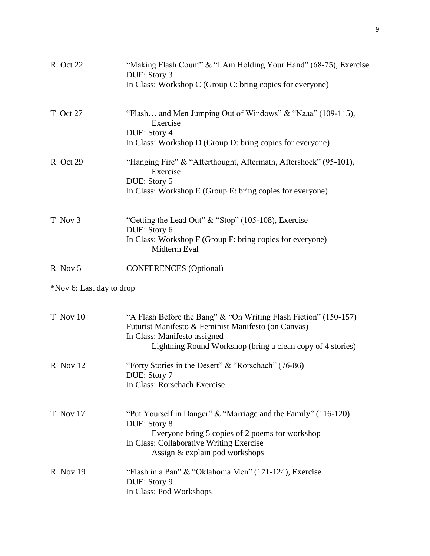| R Oct 22                 | "Making Flash Count" & "I Am Holding Your Hand" (68-75), Exercise<br>DUE: Story 3                                                                                                                                     |
|--------------------------|-----------------------------------------------------------------------------------------------------------------------------------------------------------------------------------------------------------------------|
|                          | In Class: Workshop C (Group C: bring copies for everyone)                                                                                                                                                             |
| T Oct 27                 | "Flash and Men Jumping Out of Windows" & "Naaa" (109-115),<br>Exercise                                                                                                                                                |
|                          | DUE: Story 4<br>In Class: Workshop D (Group D: bring copies for everyone)                                                                                                                                             |
| R Oct 29                 | "Hanging Fire" & "Afterthought, Aftermath, Aftershock" (95-101),<br>Exercise                                                                                                                                          |
|                          | DUE: Story 5<br>In Class: Workshop E (Group E: bring copies for everyone)                                                                                                                                             |
| T Nov 3                  | "Getting the Lead Out" & "Stop" (105-108), Exercise<br>DUE: Story 6                                                                                                                                                   |
|                          | In Class: Workshop F (Group F: bring copies for everyone)<br>Midterm Eval                                                                                                                                             |
| R Nov 5                  | <b>CONFERENCES</b> (Optional)                                                                                                                                                                                         |
| *Nov 6: Last day to drop |                                                                                                                                                                                                                       |
| T Nov 10                 | "A Flash Before the Bang" & "On Writing Flash Fiction" (150-157)<br>Futurist Manifesto & Feminist Manifesto (on Canvas)<br>In Class: Manifesto assigned<br>Lightning Round Workshop (bring a clean copy of 4 stories) |
| R Nov 12                 | "Forty Stories in the Desert" & "Rorschach" (76-86)<br>DUE: Story 7<br>In Class: Rorschach Exercise                                                                                                                   |
|                          |                                                                                                                                                                                                                       |
| T Nov 17                 | "Put Yourself in Danger" & "Marriage and the Family" (116-120)<br>DUE: Story 8<br>Everyone bring 5 copies of 2 poems for workshop                                                                                     |
|                          | In Class: Collaborative Writing Exercise<br>Assign & explain pod workshops                                                                                                                                            |
| $R$ Nov 19               | "Flash in a Pan" & "Oklahoma Men" (121-124), Exercise<br>DUE: Story 9<br>In Class: Pod Workshops                                                                                                                      |